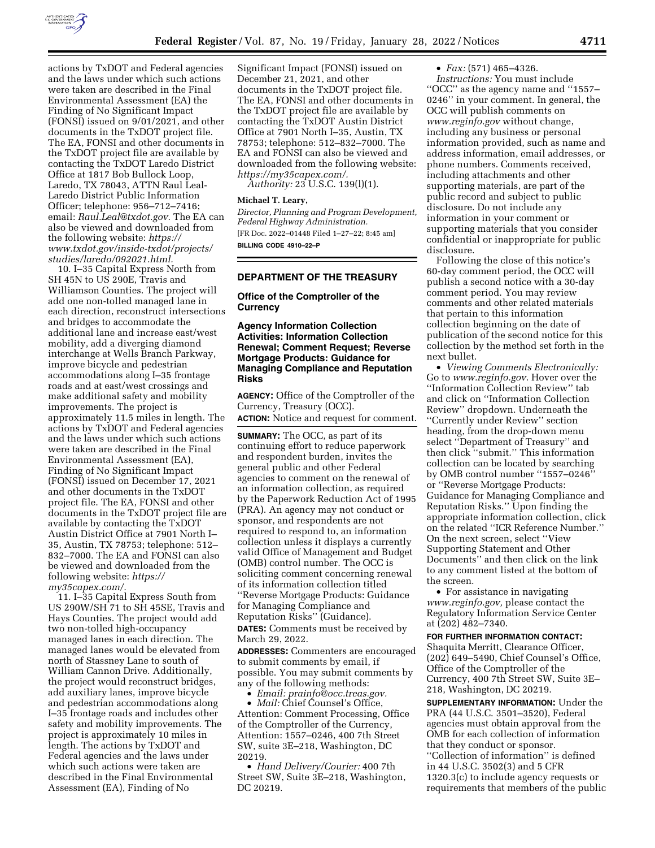

actions by TxDOT and Federal agencies and the laws under which such actions were taken are described in the Final Environmental Assessment (EA) the Finding of No Significant Impact (FONSI) issued on 9/01/2021, and other documents in the TxDOT project file. The EA, FONSI and other documents in the TxDOT project file are available by contacting the TxDOT Laredo District Office at 1817 Bob Bullock Loop, Laredo, TX 78043, ATTN Raul Leal-Laredo District Public Information Officer; telephone: 956–712–7416; email: *[Raul.Leal@txdot.gov.](mailto:Raul.Leal@txdot.gov)* The EA can also be viewed and downloaded from the following website: *[https://](https://www.txdot.gov/inside-txdot/projects/studies/laredo/092021.html) [www.txdot.gov/inside-txdot/projects/](https://www.txdot.gov/inside-txdot/projects/studies/laredo/092021.html)  [studies/laredo/092021.html.](https://www.txdot.gov/inside-txdot/projects/studies/laredo/092021.html)* 

10. I–35 Capital Express North from SH 45N to US 290E, Travis and Williamson Counties. The project will add one non-tolled managed lane in each direction, reconstruct intersections and bridges to accommodate the additional lane and increase east/west mobility, add a diverging diamond interchange at Wells Branch Parkway, improve bicycle and pedestrian accommodations along I–35 frontage roads and at east/west crossings and make additional safety and mobility improvements. The project is approximately 11.5 miles in length. The actions by TxDOT and Federal agencies and the laws under which such actions were taken are described in the Final Environmental Assessment (EA), Finding of No Significant Impact (FONSI) issued on December 17, 2021 and other documents in the TxDOT project file. The EA, FONSI and other documents in the TxDOT project file are available by contacting the TxDOT Austin District Office at 7901 North I– 35, Austin, TX 78753; telephone: 512– 832–7000. The EA and FONSI can also be viewed and downloaded from the following website: *[https://](https://my35capex.com/) [my35capex.com/.](https://my35capex.com/)* 

11. I–35 Capital Express South from US 290W/SH 71 to SH 45SE, Travis and Hays Counties. The project would add two non-tolled high-occupancy managed lanes in each direction. The managed lanes would be elevated from north of Stassney Lane to south of William Cannon Drive. Additionally, the project would reconstruct bridges, add auxiliary lanes, improve bicycle and pedestrian accommodations along I–35 frontage roads and includes other safety and mobility improvements. The project is approximately 10 miles in length. The actions by TxDOT and Federal agencies and the laws under which such actions were taken are described in the Final Environmental Assessment (EA), Finding of No

Significant Impact (FONSI) issued on December 21, 2021, and other documents in the TxDOT project file. The EA, FONSI and other documents in the TxDOT project file are available by contacting the TxDOT Austin District Office at 7901 North I–35, Austin, TX 78753; telephone: 512–832–7000. The EA and FONSI can also be viewed and downloaded from the following website: *[https://my35capex.com/.](https://my35capex.com/)* 

*Authority:* 23 U.S.C. 139(l)(1).

#### **Michael T. Leary,**

*Director, Planning and Program Development, Federal Highway Administration.*  [FR Doc. 2022–01448 Filed 1–27–22; 8:45 am] **BILLING CODE 4910–22–P** 

# **DEPARTMENT OF THE TREASURY**

## **Office of the Comptroller of the Currency**

# **Agency Information Collection Activities: Information Collection Renewal; Comment Request; Reverse Mortgage Products: Guidance for Managing Compliance and Reputation Risks**

**AGENCY:** Office of the Comptroller of the Currency, Treasury (OCC).

**ACTION:** Notice and request for comment.

**SUMMARY:** The OCC, as part of its continuing effort to reduce paperwork and respondent burden, invites the general public and other Federal agencies to comment on the renewal of an information collection, as required by the Paperwork Reduction Act of 1995 (PRA). An agency may not conduct or sponsor, and respondents are not required to respond to, an information collection unless it displays a currently valid Office of Management and Budget (OMB) control number. The OCC is soliciting comment concerning renewal of its information collection titled ''Reverse Mortgage Products: Guidance for Managing Compliance and Reputation Risks'' (Guidance). **DATES:** Comments must be received by

March 29, 2022.

**ADDRESSES:** Commenters are encouraged to submit comments by email, if possible. You may submit comments by any of the following methods:

• *Email: [prainfo@occ.treas.gov.](mailto:prainfo@occ.treas.gov)* 

• *Mail:* Chief Counsel's Office, Attention: Comment Processing, Office of the Comptroller of the Currency, Attention: 1557–0246, 400 7th Street SW, suite 3E–218, Washington, DC 20219.

• *Hand Delivery/Courier:* 400 7th Street SW, Suite 3E–218, Washington, DC 20219.

• *Fax:* (571) 465–4326.

*Instructions:* You must include ''OCC'' as the agency name and ''1557– 0246'' in your comment. In general, the OCC will publish comments on *[www.reginfo.gov](http://www.reginfo.gov)* without change, including any business or personal information provided, such as name and address information, email addresses, or phone numbers. Comments received, including attachments and other supporting materials, are part of the public record and subject to public disclosure. Do not include any information in your comment or supporting materials that you consider confidential or inappropriate for public disclosure.

Following the close of this notice's 60-day comment period, the OCC will publish a second notice with a 30-day comment period. You may review comments and other related materials that pertain to this information collection beginning on the date of publication of the second notice for this collection by the method set forth in the next bullet.

• *Viewing Comments Electronically:*  Go to *[www.reginfo.gov.](http://www.reginfo.gov)* Hover over the ''Information Collection Review'' tab and click on ''Information Collection Review'' dropdown. Underneath the ''Currently under Review'' section heading, from the drop-down menu select ''Department of Treasury'' and then click ''submit.'' This information collection can be located by searching by OMB control number ''1557–0246'' or ''Reverse Mortgage Products: Guidance for Managing Compliance and Reputation Risks.'' Upon finding the appropriate information collection, click on the related ''ICR Reference Number.'' On the next screen, select ''View Supporting Statement and Other Documents'' and then click on the link to any comment listed at the bottom of the screen.

• For assistance in navigating *[www.reginfo.gov,](http://www.reginfo.gov)* please contact the Regulatory Information Service Center at (202) 482–7340.

**FOR FURTHER INFORMATION CONTACT:**  Shaquita Merritt, Clearance Officer, (202) 649–5490, Chief Counsel's Office, Office of the Comptroller of the Currency, 400 7th Street SW, Suite 3E– 218, Washington, DC 20219.

**SUPPLEMENTARY INFORMATION:** Under the PRA (44 U.S.C. 3501–3520), Federal agencies must obtain approval from the OMB for each collection of information that they conduct or sponsor. ''Collection of information'' is defined in 44 U.S.C. 3502(3) and 5 CFR 1320.3(c) to include agency requests or requirements that members of the public